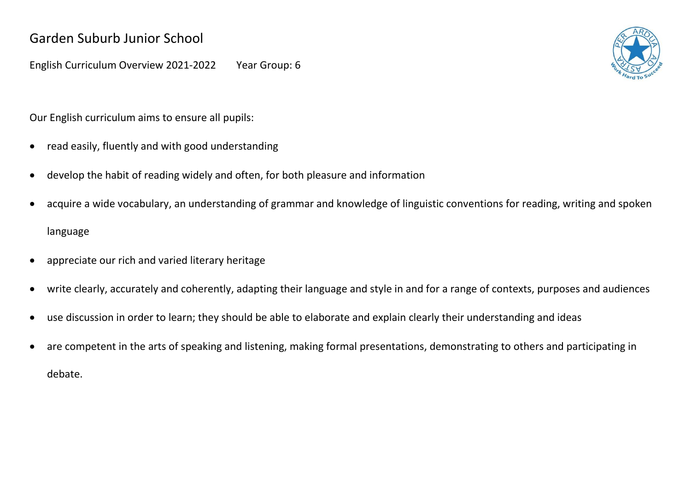English Curriculum Overview 2021-2022 Year Group: 6

Our English curriculum aims to ensure all pupils:

- read easily, fluently and with good understanding
- develop the habit of reading widely and often, for both pleasure and information
- acquire a wide vocabulary, an understanding of grammar and knowledge of linguistic conventions for reading, writing and spoken language
- appreciate our rich and varied literary heritage
- write clearly, accurately and coherently, adapting their language and style in and for a range of contexts, purposes and audiences
- use discussion in order to learn; they should be able to elaborate and explain clearly their understanding and ideas
- are competent in the arts of speaking and listening, making formal presentations, demonstrating to others and participating in debate.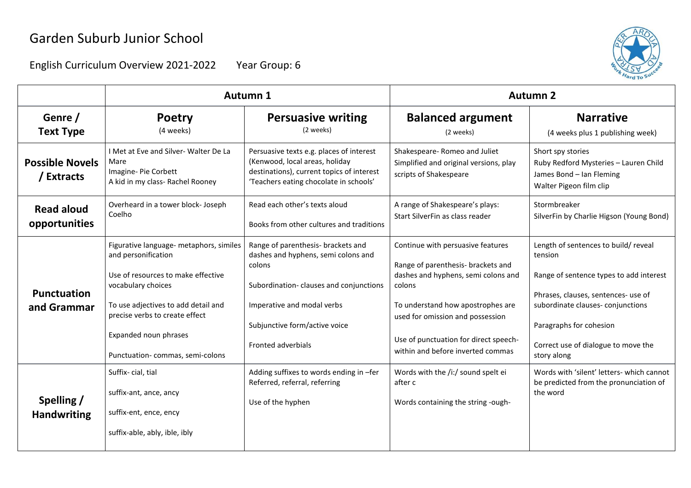

|                                      | Autumn 1                                                                                                                                                                                                                                                        |                                                                                                                                                                                                                    | <b>Autumn 2</b>                                                                                                                                                                                                                                                                 |                                                                                                                                                                                                                                                       |
|--------------------------------------|-----------------------------------------------------------------------------------------------------------------------------------------------------------------------------------------------------------------------------------------------------------------|--------------------------------------------------------------------------------------------------------------------------------------------------------------------------------------------------------------------|---------------------------------------------------------------------------------------------------------------------------------------------------------------------------------------------------------------------------------------------------------------------------------|-------------------------------------------------------------------------------------------------------------------------------------------------------------------------------------------------------------------------------------------------------|
| Genre /<br><b>Text Type</b>          | <b>Poetry</b><br>(4 weeks)                                                                                                                                                                                                                                      | <b>Persuasive writing</b><br>(2 weeks)                                                                                                                                                                             | <b>Balanced argument</b><br>(2 weeks)                                                                                                                                                                                                                                           | <b>Narrative</b><br>(4 weeks plus 1 publishing week)                                                                                                                                                                                                  |
| <b>Possible Novels</b><br>/ Extracts | I Met at Eve and Silver-Walter De La<br>Mare<br>Imagine-Pie Corbett<br>A kid in my class- Rachel Rooney                                                                                                                                                         | Persuasive texts e.g. places of interest<br>(Kenwood, local areas, holiday<br>destinations), current topics of interest<br>'Teachers eating chocolate in schools'                                                  | Shakespeare-Romeo and Juliet<br>Simplified and original versions, play<br>scripts of Shakespeare                                                                                                                                                                                | Short spy stories<br>Ruby Redford Mysteries - Lauren Child<br>James Bond - Ian Fleming<br>Walter Pigeon film clip                                                                                                                                     |
| <b>Read aloud</b><br>opportunities   | Overheard in a tower block- Joseph<br>Coelho                                                                                                                                                                                                                    | Read each other's texts aloud<br>Books from other cultures and traditions                                                                                                                                          | A range of Shakespeare's plays:<br>Start SilverFin as class reader                                                                                                                                                                                                              | Stormbreaker<br>SilverFin by Charlie Higson (Young Bond)                                                                                                                                                                                              |
| <b>Punctuation</b><br>and Grammar    | Figurative language- metaphors, similes<br>and personification<br>Use of resources to make effective<br>vocabulary choices<br>To use adjectives to add detail and<br>precise verbs to create effect<br>Expanded noun phrases<br>Punctuation-commas, semi-colons | Range of parenthesis- brackets and<br>dashes and hyphens, semi colons and<br>colons<br>Subordination-clauses and conjunctions<br>Imperative and modal verbs<br>Subjunctive form/active voice<br>Fronted adverbials | Continue with persuasive features<br>Range of parenthesis- brackets and<br>dashes and hyphens, semi colons and<br>colons<br>To understand how apostrophes are<br>used for omission and possession<br>Use of punctuation for direct speech-<br>within and before inverted commas | Length of sentences to build/reveal<br>tension<br>Range of sentence types to add interest<br>Phrases, clauses, sentences- use of<br>subordinate clauses-conjunctions<br>Paragraphs for cohesion<br>Correct use of dialogue to move the<br>story along |
| Spelling /<br><b>Handwriting</b>     | Suffix-cial, tial<br>suffix-ant, ance, ancy<br>suffix-ent, ence, ency<br>suffix-able, ably, ible, ibly                                                                                                                                                          | Adding suffixes to words ending in -fer<br>Referred, referral, referring<br>Use of the hyphen                                                                                                                      | Words with the /i:/ sound spelt ei<br>after c<br>Words containing the string -ough-                                                                                                                                                                                             | Words with 'silent' letters- which cannot<br>be predicted from the pronunciation of<br>the word                                                                                                                                                       |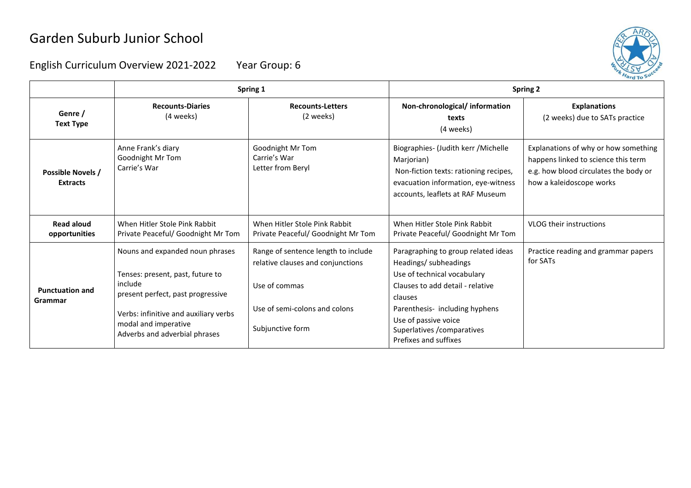

|                                      | Spring 1                                                                                                                                                                                                              |                                                                                                                                                | <b>Spring 2</b>                                                                                                                                                                                                                                                                                                |                                                                                                                                                  |
|--------------------------------------|-----------------------------------------------------------------------------------------------------------------------------------------------------------------------------------------------------------------------|------------------------------------------------------------------------------------------------------------------------------------------------|----------------------------------------------------------------------------------------------------------------------------------------------------------------------------------------------------------------------------------------------------------------------------------------------------------------|--------------------------------------------------------------------------------------------------------------------------------------------------|
| Genre /<br><b>Text Type</b>          | <b>Recounts-Diaries</b><br>(4 weeks)                                                                                                                                                                                  | <b>Recounts-Letters</b><br>(2 weeks)                                                                                                           | Non-chronological/information<br>texts<br>(4 weeks)                                                                                                                                                                                                                                                            | <b>Explanations</b><br>(2 weeks) due to SATs practice                                                                                            |
| Possible Novels /<br><b>Extracts</b> | Anne Frank's diary<br>Goodnight Mr Tom<br>Carrie's War                                                                                                                                                                | Goodnight Mr Tom<br>Carrie's War<br>Letter from Beryl                                                                                          | Biographies- (Judith kerr / Michelle<br>Marjorian)<br>Non-fiction texts: rationing recipes,<br>evacuation information, eye-witness<br>accounts, leaflets at RAF Museum                                                                                                                                         | Explanations of why or how something<br>happens linked to science this term<br>e.g. how blood circulates the body or<br>how a kaleidoscope works |
| <b>Read aloud</b><br>opportunities   | When Hitler Stole Pink Rabbit<br>Private Peaceful/ Goodnight Mr Tom                                                                                                                                                   | When Hitler Stole Pink Rabbit<br>Private Peaceful/ Goodnight Mr Tom                                                                            | When Hitler Stole Pink Rabbit<br><b>VLOG their instructions</b><br>Private Peaceful/ Goodnight Mr Tom                                                                                                                                                                                                          |                                                                                                                                                  |
| <b>Punctuation and</b><br>Grammar    | Nouns and expanded noun phrases<br>Tenses: present, past, future to<br>include<br>present perfect, past progressive<br>Verbs: infinitive and auxiliary verbs<br>modal and imperative<br>Adverbs and adverbial phrases | Range of sentence length to include<br>relative clauses and conjunctions<br>Use of commas<br>Use of semi-colons and colons<br>Subjunctive form | Paragraphing to group related ideas<br>Practice reading and grammar papers<br>for SATs<br>Headings/ subheadings<br>Use of technical vocabulary<br>Clauses to add detail - relative<br>clauses<br>Parenthesis-including hyphens<br>Use of passive voice<br>Superlatives / comparatives<br>Prefixes and suffixes |                                                                                                                                                  |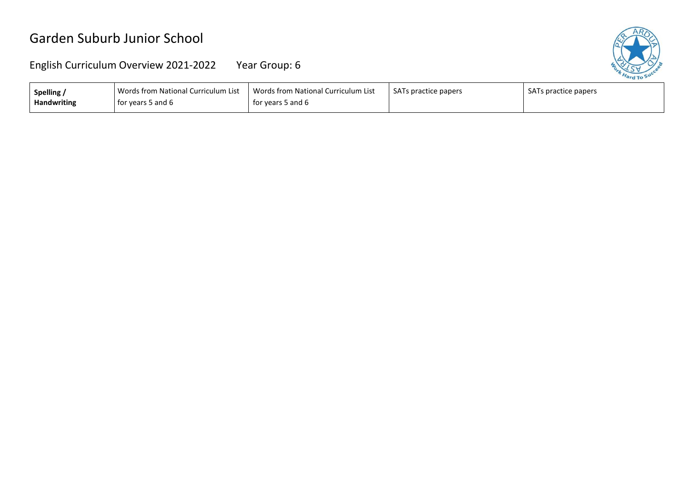

| Spelling           | Words from National Curriculum List | Words from National Curriculum List | SATs practice papers | SATs practice papers |
|--------------------|-------------------------------------|-------------------------------------|----------------------|----------------------|
| <b>Handwriting</b> | for years 5 and 6                   | for years 5 and 6                   |                      |                      |